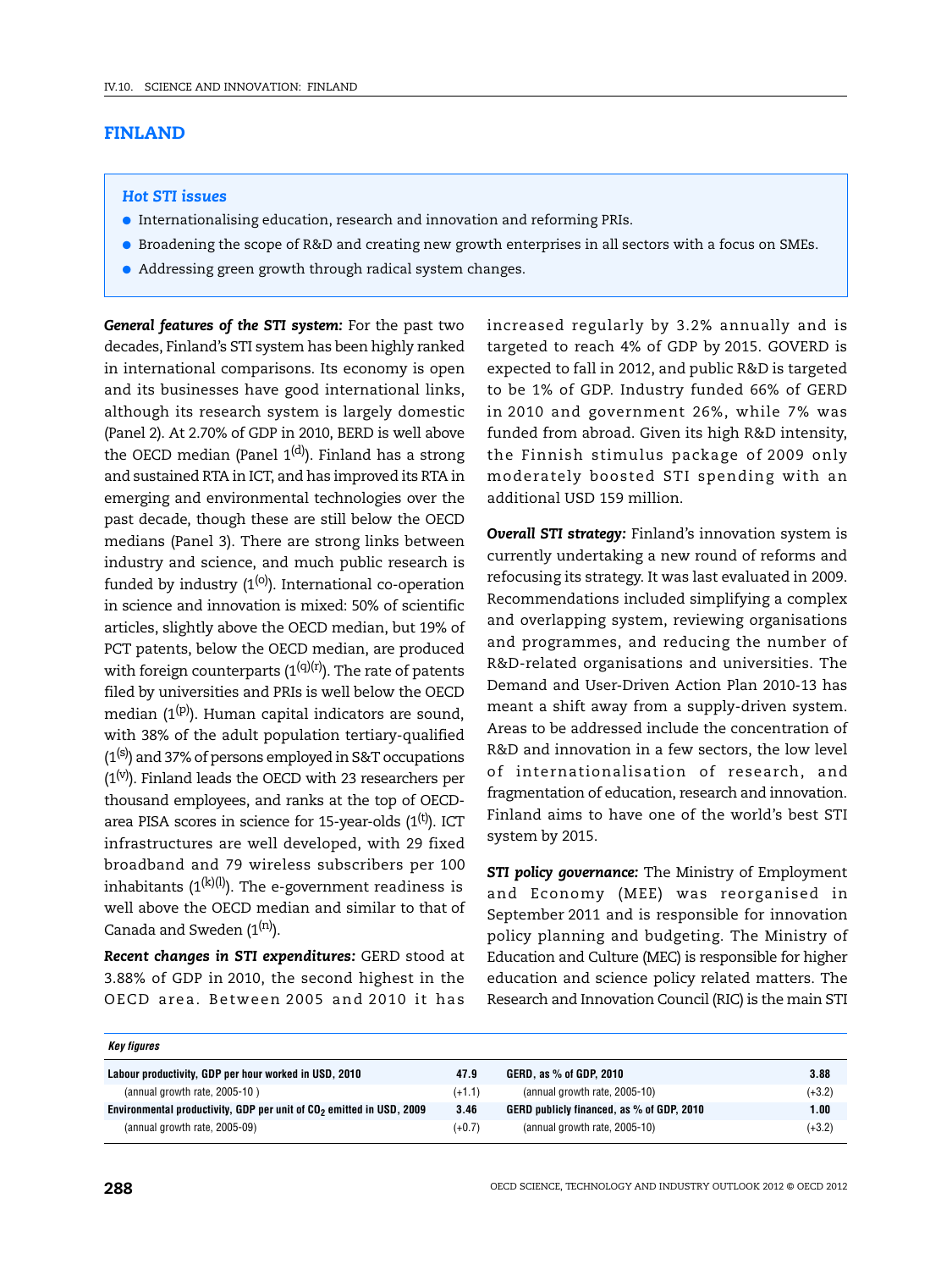## **FINLAND**

## *Hot STI issues*

- Internationalising education, research and innovation and reforming PRIs.
- Broadening the scope of R&D and creating new growth enterprises in all sectors with a focus on SMEs.
- Addressing green growth through radical system changes.

*General features of the STI system:* For the past two decades, Finland's STI system has been highly ranked in international comparisons. Its economy is open and its businesses have good international links, although its research system is largely domestic (Panel 2). At 2.70% of GDP in 2010, BERD is well above the OECD median (Panel  $1<sup>(d)</sup>$ ). Finland has a strong and sustained RTA in ICT, and has improved its RTA in emerging and environmental technologies over the past decade, though these are still below the OECD medians (Panel 3). There are strong links between industry and science, and much public research is funded by industry  $(1^{(0)})$ . International co-operation in science and innovation is mixed: 50% of scientific articles, slightly above the OECD median, but 19% of PCT patents, below the OECD median, are produced with foreign counterparts  $(1^{(q)(r)})$ . The rate of patents filed by universities and PRIs is well below the OECD median  $(1^{(p)})$ . Human capital indicators are sound, with 38% of the adult population tertiary-qualified  $(1<sup>(s)</sup>)$  and 37% of persons employed in S&T occupations  $(1<sup>(v)</sup>)$ . Finland leads the OECD with 23 researchers per thousand employees, and ranks at the top of OECDarea PISA scores in science for 15-year-olds  $(1<sup>(t)</sup>)$ . ICT infrastructures are well developed, with 29 fixed broadband and 79 wireless subscribers per 100 inhabitants  $(1^{(k)(l)})$ . The e-government readiness is well above the OECD median and similar to that of Canada and Sweden  $(1^{(n)})$ .

*Recent changes in STI expenditures:* GERD stood at 3.88% of GDP in 2010, the second highest in the OECD area. Between 2005 and 2010 it has increased regularly by 3.2% annually and is targeted to reach 4% of GDP by 2015. GOVERD is expected to fall in 2012, and public R&D is targeted to be 1% of GDP. Industry funded 66% of GERD in 2010 and government 26%, while 7% was funded from abroad. Given its high R&D intensity, the Finnish stimulus package of 2009 only moderately boosted STI spending with an additional USD 159 million.

*Overall STI strategy:* Finland's innovation system is currently undertaking a new round of reforms and refocusing its strategy. It was last evaluated in 2009. Recommendations included simplifying a complex and overlapping system, reviewing organisations and programmes, and reducing the number of R&D-related organisations and universities. The Demand and User-Driven Action Plan 2010-13 has meant a shift away from a supply-driven system. Areas to be addressed include the concentration of R&D and innovation in a few sectors, the low level of internationalisation of research, and fragmentation of education, research and innovation. Finland aims to have one of the world's best STI system by 2015.

*STI policy governance:* The Ministry of Employment and Economy (MEE) was reorganised in September 2011 and is responsible for innovation policy planning and budgeting. The Ministry of Education and Culture (MEC) is responsible for higher education and science policy related matters. The Research and Innovation Council (RIC) is the main STI

| Key figures                                                                      |          |                                           |          |
|----------------------------------------------------------------------------------|----------|-------------------------------------------|----------|
| Labour productivity, GDP per hour worked in USD, 2010                            | 47.9     | GERD, as % of GDP, 2010                   | 3.88     |
| (annual growth rate, 2005-10)                                                    | $(+1.1)$ | (annual growth rate, 2005-10)             | $(+3.2)$ |
| Environmental productivity, GDP per unit of CO <sub>2</sub> emitted in USD, 2009 | 3.46     | GERD publicly financed, as % of GDP, 2010 | 1.00     |
| (annual growth rate, 2005-09)                                                    | $(+0.7)$ | (annual growth rate, 2005-10)             | $(+3.2)$ |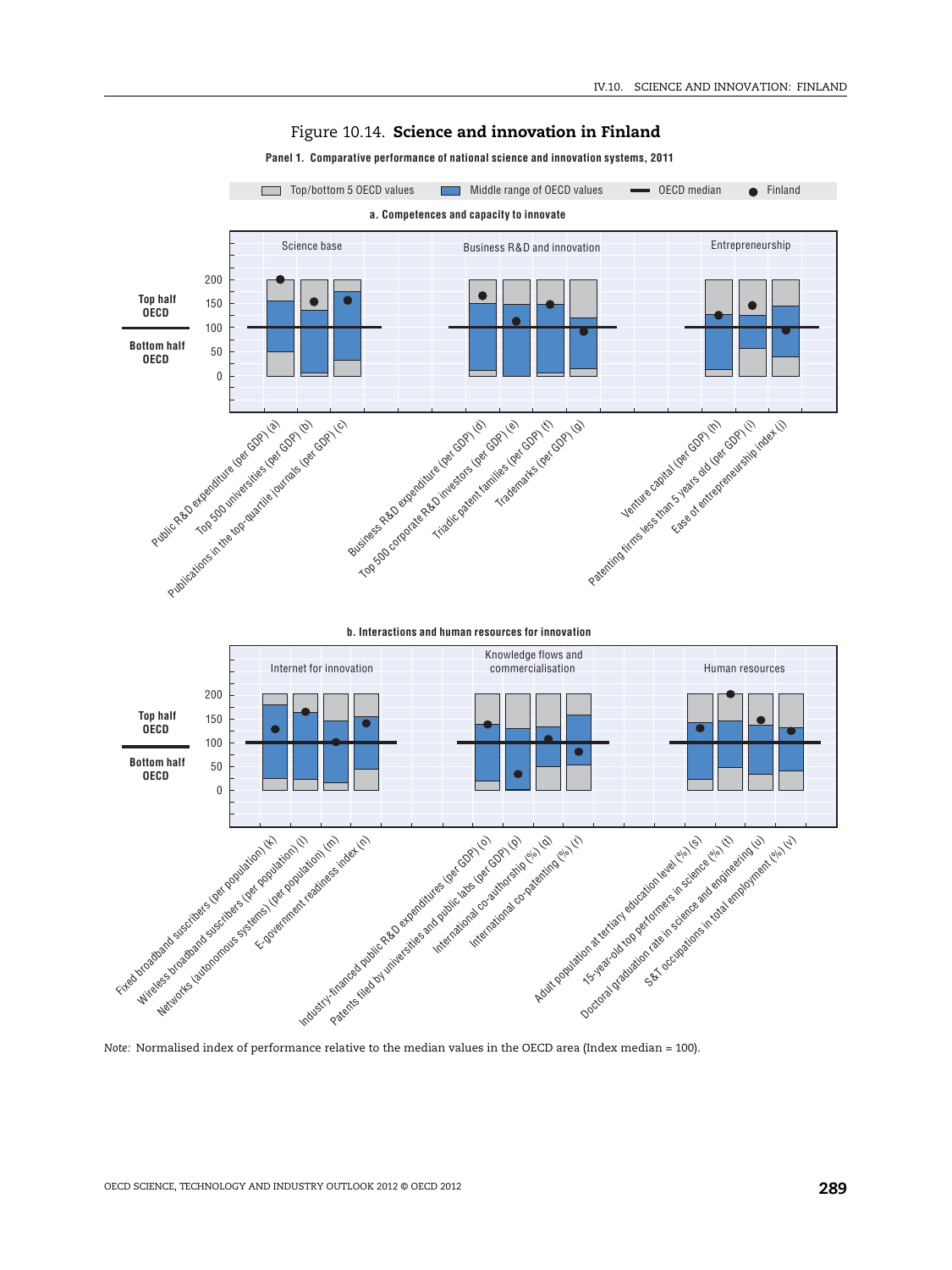

## Figure 10.14. **Science and innovation in Finland**

**Panel 1. Comparative performance of national science and innovation systems, 2011**

*Note:* Normalised index of performance relative to the median values in the OECD area (Index median = 100).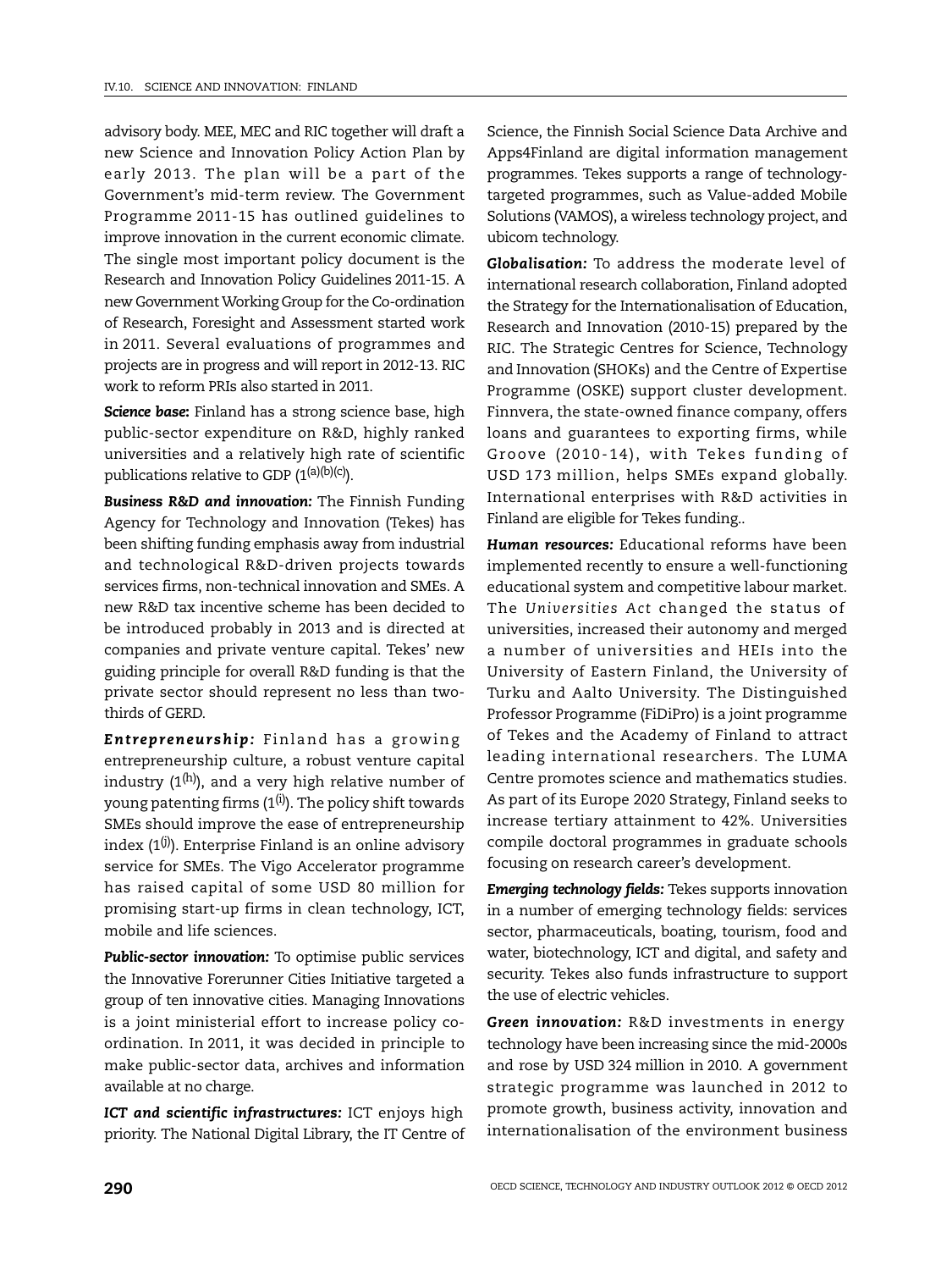advisory body. MEE, MEC and RIC together will draft a new Science and Innovation Policy Action Plan by early 2013. The plan will be a part of the Government's mid-term review. The Government Programme 2011-15 has outlined guidelines to improve innovation in the current economic climate. The single most important policy document is the Research and Innovation Policy Guidelines 2011-15. A new Government Working Group for the Co-ordination of Research, Foresight and Assessment started work in 2011. Several evaluations of programmes and projects are in progress and will report in 2012-13. RIC work to reform PRIs also started in 2011.

*Science base***:** Finland has a strong science base, high public-sector expenditure on R&D, highly ranked universities and a relatively high rate of scientific publications relative to GDP  $(1^{(a)(b)(c)})$ .

*Business R&D and innovation:* The Finnish Funding Agency for Technology and Innovation (Tekes) has been shifting funding emphasis away from industrial and technological R&D-driven projects towards services firms, non-technical innovation and SMEs. A new R&D tax incentive scheme has been decided to be introduced probably in 2013 and is directed at companies and private venture capital. Tekes' new guiding principle for overall R&D funding is that the private sector should represent no less than twothirds of GERD.

*Entrepreneurship:* Finland has a growing entrepreneurship culture, a robust venture capital industry  $(1^{(h)})$ , and a very high relative number of young patenting firms  $(1^{(i)})$ . The policy shift towards SMEs should improve the ease of entrepreneurship index  $(1^{(j)})$ . Enterprise Finland is an online advisory service for SMEs. The Vigo Accelerator programme has raised capital of some USD 80 million for promising start-up firms in clean technology, ICT, mobile and life sciences.

*Public-sector innovation:* To optimise public services the Innovative Forerunner Cities Initiative targeted a group of ten innovative cities. Managing Innovations is a joint ministerial effort to increase policy coordination. In 2011, it was decided in principle to make public-sector data, archives and information available at no charge.

*ICT and scientific infrastructures:* ICT enjoys high priority. The National Digital Library, the IT Centre of Science, the Finnish Social Science Data Archive and Apps4Finland are digital information management programmes. Tekes supports a range of technologytargeted programmes, such as Value-added Mobile Solutions (VAMOS), a wireless technology project, and ubicom technology.

*Globalisation:* To address the moderate level of international research collaboration, Finland adopted the Strategy for the Internationalisation of Education, Research and Innovation (2010-15) prepared by the RIC. The Strategic Centres for Science, Technology and Innovation (SHOKs) and the Centre of Expertise Programme (OSKE) support cluster development. Finnvera, the state-owned finance company, offers loans and guarantees to exporting firms, while Groove (2010-14), with Tekes funding of USD 173 million, helps SMEs expand globally. International enterprises with R&D activities in Finland are eligible for Tekes funding..

*Human resources:* Educational reforms have been implemented recently to ensure a well-functioning educational system and competitive labour market. The *Universities Act* changed the status of universities, increased their autonomy and merged a number of universities and HEIs into the University of Eastern Finland, the University of Turku and Aalto University. The Distinguished Professor Programme (FiDiPro) is a joint programme of Tekes and the Academy of Finland to attract leading international researchers. The LUMA Centre promotes science and mathematics studies. As part of its Europe 2020 Strategy, Finland seeks to increase tertiary attainment to 42%. Universities compile doctoral programmes in graduate schools focusing on research career's development.

*Emerging technology fields:* Tekes supports innovation in a number of emerging technology fields: services sector, pharmaceuticals, boating, tourism, food and water, biotechnology, ICT and digital, and safety and security. Tekes also funds infrastructure to support the use of electric vehicles.

*Green innovation:* R&D investments in energy technology have been increasing since the mid-2000s and rose by USD 324 million in 2010. A government strategic programme was launched in 2012 to promote growth, business activity, innovation and internationalisation of the environment business